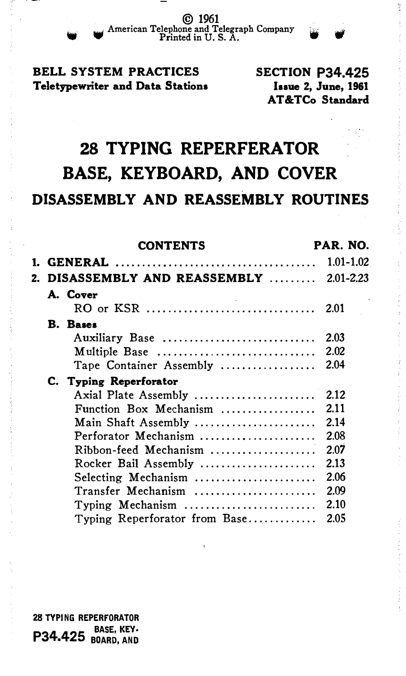© 1961 American Telephone and Telegraph Company in Printed in U.S. A.

# BELL SYSTEM PRACTICES Teletypewriter and Data Stations

SECTION P34.425 Issue 2, June, 1961 AT&TCo Standard

# 28 TYPING REPERFERATOR BASE, KEYBOARD, AND COVER DISASSEMBLY AND REASSEMBLY ROUTINES

|  | <b>CONTENTS</b>                       | PAR. NO.      |
|--|---------------------------------------|---------------|
|  |                                       | $1.01 - 1.02$ |
|  | DISASSEMBLY AND REASSEMBLY  2.01-2.23 |               |
|  | A. Cover                              |               |
|  |                                       |               |
|  | <b>B.</b> Bases                       |               |
|  | Auxiliary Base                        | 2.03          |
|  | Multiple Base                         | 2.02          |
|  | Tape Container Assembly               | 2.04          |
|  | C. Typing Reperforator                |               |
|  | Axial Plate Assembly                  | 2.12          |
|  | Function Box Mechanism                | 2.11          |
|  | Main Shaft Assembly                   | 2.14          |
|  | Perforator Mechanism                  | 2.08          |
|  | Ribbon-feed Mechanism                 | 2.07          |
|  | Rocker Bail Assembly                  | 2.13          |
|  | Selecting Mechanism                   | 2.06          |
|  | Transfer Mechanism                    | 2.09          |
|  | Typing Mechanism                      | 2.10          |
|  | Typing Reperforator from Base         | 2.05          |

28 TYPING REPERFORATOR **P34.425** BASE, KEY-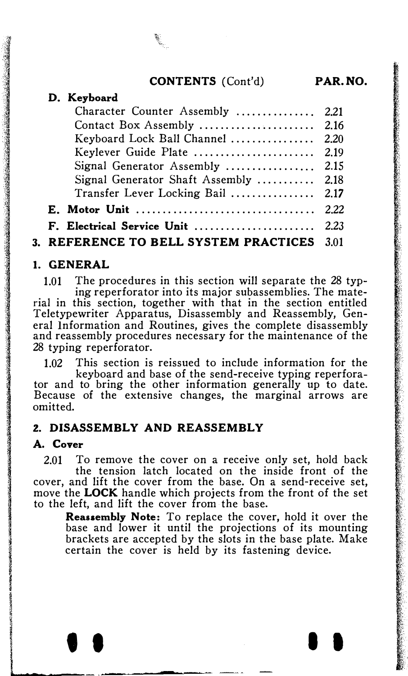## CONTENTS (Cont'd) PAR.NO.

| Character Counter Assembly  2.21           |  |
|--------------------------------------------|--|
|                                            |  |
| Keyboard Lock Ball Channel  2.20           |  |
| Keylever Guide Plate  2.19                 |  |
|                                            |  |
| Signal Generator Shaft Assembly  2.18      |  |
| Transfer Lever Locking Bail  2.17          |  |
|                                            |  |
| F. Electrical Service Unit  2.23           |  |
| 3. REFERENCE TO BELL SYSTEM PRACTICES 3.01 |  |

## 1. GENERAL

1.01 The procedures in this section will separate the 28 typing reperforator into its major subassemblies. The material in this section, together with that in the section entitled Teletypewriter Apparatus, Disassembly and Reassembly, General Information and Routines, gives the complete disassembly and reassembly procedures necessary for the maintenance of the 28 typing reperforator.

1.02 This section is reissued to include information for the keyboard and base of the send-receive typing reperfora-

tor and to bring the other information generally up to date. Because of the extensive changes, the marginal arrows are omitted.

## 2. DISASSEMBLY AND REASSEMBLY

#### A. Cover

2.01 To remove the cover on a receive only set, hold back the tension latch located on the inside front of the cover, and lift the cover from the base. On a send-receive set, move the **LOCK** handle which projects from the front of the set to the left, and lift the cover from the base.

Reassembly Note: To replace the cover, hold it over the base and lower it until the projections of its mounting brackets are accepted by the slots in the base plate. Make certain the cover is held by its fastening device.

• • I I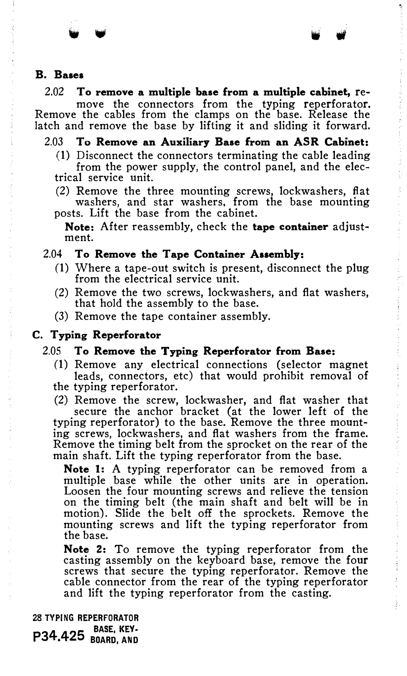#### B. Bases

2.02 To remove a multiple base from a multiple cabinet, remove the connectors from the typing reperforator. Remove the cables from the clamps on the base. Release the latch and remove the base by lifting it and sliding it forward.

## 2.03 To Remove an Auxiliary Base from an ASR Cabinet:

- (1) Disconnect the connectors terminating the cable leading from the power supply, the control panel, and the electrical service unit.
- (2) Remove the three mounting screws, lockwashers, flat washers, and star washers, from the base mounting posts. Lift the base from the cabinet.

Note: After reassembly, check the tape container adjustment.

#### 2.04 To Remove the Tape Container Assembly:

- (1) Where a tape-out switch is present, disconnect the plug from the electrical service unit.
- (2) Remove the two screws, lockwashers, and flat washers, that hold the assembly to the base.
- (3) Remove the tape container assembly.

#### C. Typing Reperforator

#### 2.05 To Remove the Typing Reperforator from Base:

- (1) Remove any electrical connections (selector magnet leads, connectors, etc) that would prohibit removal of the typing reperforator.
- 

(2) Remove the screw, lockwasher, and flat washer that secure the anchor bracket (at the lower left of the typing reperforator) to the base. Remove the three mounting screws, lockwashers, and flat washers from the frame. Remove the timing belt from the sprocket on the rear of the main shaft. Lift the typing reperforator from the base.

Note 1: A typing reperforator can be removed from a multiple base while the other units are in operation. Loosen the four mounting screws and relieve the tension on the timing belt (the main shaft and belt will be in motion). Slide the belt off the sprockets. Remove the mounting screws and lift the typing reperforator from the base.

Note 2: To remove the typing reperforator from the casting assembly on the keyboard base, remove the four screws that secure the typing reperforator. Remove the cable connector from the rear of the typing reperforator and lift the typing reperforator from the casting.

28 TYPING REPERFORATOR **P34.425** BASE, KEY-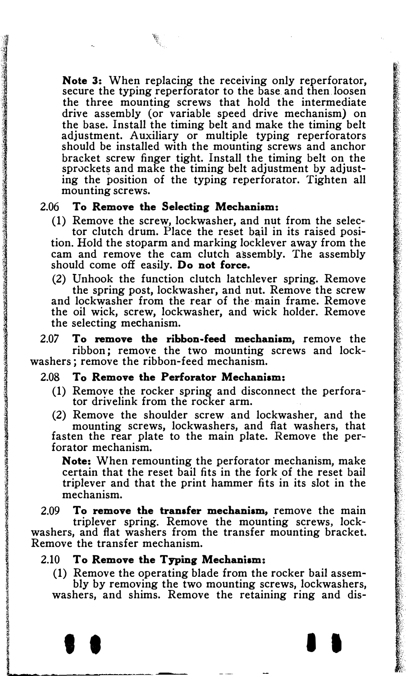Note 3: When replacing the receiving only reperforator, secure the typing reperforator to the base and then loosen the three mounting screws that hold the intermediate drive assembly (or variable speed drive mechanism) on the base. Install the timing belt and make the timing belt adjustment. Auxiliary or multiple typing reperforators should be installed with the mounting screws and anchor bracket screw finger tight. Install the timing belt on the sprockets and make the timing belt adjustment by adjusting the position of the typing reperforator. Tighten all mounting screws.

#### 2.06 To Remove the Selecting Mechanism:

(1) Remove the screw, lockwasher, and nut from the selector clutch drum. Place the reset bail in its raised position. Hold the stoparm and marking locklever away from the cam and remove the cam clutch assembly. The assembly should come off easily. Do not force.

(2) Unhook the function clutch latchlever spring. Remove the spring post, lockwasher, and nut. Remove the screw and lockwasher from the rear of the main frame. Remove the oil wick, screw, lockwasher, and wick holder. Remove the selecting mechanism.

2.07 To remove the ribbon-feed mechanism, remove the ribbon; remove the two mounting screws and lockwashers ; remove the ribbon-feed mechanism.

#### 2.08 To Remove the Perforator Mechanism:

(1) Remove the rocker spring and disconnect the perforator drivelink from the rocker arm.

(2) Remove the shoulder screw and lockwasher, and the mounting screws, lockwashers, and fiat washers, that fasten the rear plate to the main plate. Remove the perforator mechanism.

Note: When remounting the perforator mechanism, make certain that the reset bail fits in the fork of the reset bail triplever and that the print hammer fits in its slot in the mechanism.

2.09 To remove the transfer mechanism, remove the main triplever spring. Remove the mounting screws, lockwashers, and fiat washers from the transfer mounting bracket. Remove the transfer mechanism.

#### 2.10 To Remove the Typing Mechanism:

(1) Remove the operating blade from the rocker bail assembly by removing the two mounting screws, lockwashers, washers, and shims. Remove the retaining ring and dis-

• • I I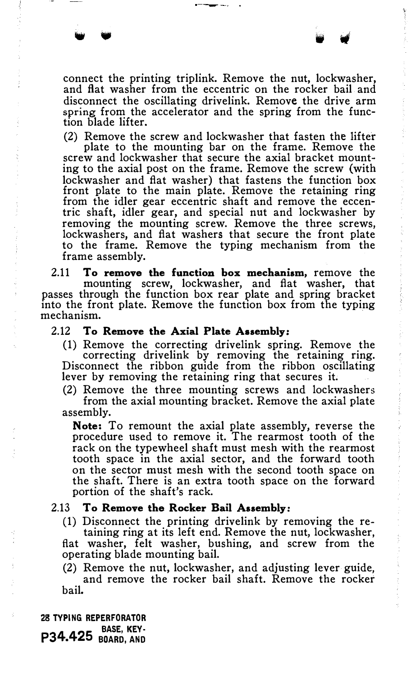connect the printing triplink. Remove the nut, lockwasher, and flat washer from the eccentric on the rocker bail and disconnect the oscillating drivelink. Remove the drive arm spring from the accelerator and the spring from the function blade lifter.

(2) Remove the screw and lockwasher that fasten the lifter

plate to the mounting bar on the frame. Remove the screw and lockwasher that secure the axial bracket mounting to the axial post on the frame. Remove the screw (with lockwasher and flat washer) that fastens the function box front plate to the main plate. Remove the retaining ring from the idler gear eccentric shaft and remove the eccentric shaft, idler gear, and special nut and lockwasher by removing the mounting screw. Remove the three screws, lockwashers, and flat washers that secure the front plate to the frame. Remove the typing mechanism from the frame assembly.

2.11 To remove the function box mechanism, remove the mounting screw, lockwasher, and flat washer, that passes through the function box rear plate and spring bracket into the front plate. Remove the function box from the typing mechanism.

## 2.12 To Remove the Axial Plate Assembly:

(1) Remove the correcting drivelink spring. Remove the correcting drivelink by removing the retaining ring. Disconnect the ribbon guide from the ribbon oscillating lever by removing the retaining ring that secures it.

(2) Remove the three mounting screws and lockwashers from the axial mounting bracket. Remove the axial plate assembly.

Note: To remount the axial plate assembly, reverse the procedure used to remove it. The rearmost tooth of the rack on the typewheel shaft must mesh with the rearmost tooth space in the axial sector, and the forward tooth on the sector must mesh with the second tooth space on the shaft. There is an extra tooth space on the forward portion of the shaft's rack.

#### 2.13 To Remove the Rocker Bail Assembly:

(1) Disconnect the printing drivelink by removing the re-

taining ring at its left end. Remove the nut, lockwasher, flat washer, felt washer, bushing, and screw from the operating blade mounting bail.

(2) Remove the nut, lockwasher, and adjusting lever guide, and remove the rocker bail shaft. Remove the rocker bail.

28 TYPING REPERFORATOR BASE, KEY· P34.425 BOARD, AND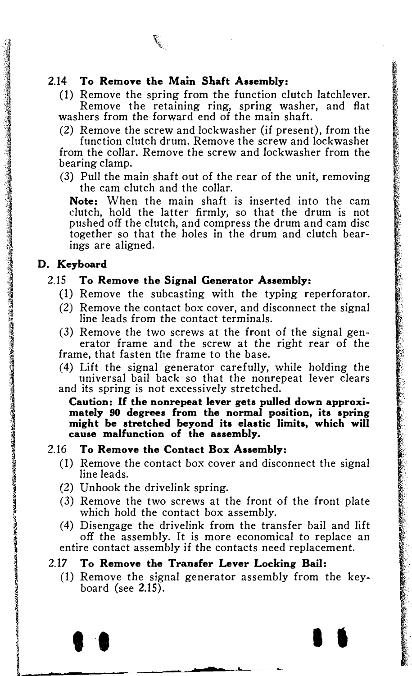## 2.14 To Remove the Main Shaft Assembly:

(1) Remove the spring from the function clutch latchlever. Remove the retaining ring, spring washer, and flat washers from the forward end of the main shaft.

(2) Remove the screw and lockwasher (if present), from the

function clutch drum. Remove the screw and lockwasher from the collar. Remove the screw and lockwasher from the bearing clamp.

(3) Pull the main shaft out of the rear of the unit, removing the cam clutch and the collar.

Note: When the main shaft is inserted into the cam clutch, hold the latter firmly, so that the drum is not pushed off the clutch, and compress the drum and cam disc together so that the holes in the drum and clutch bearings are aligned.

## D. Keyboard

**Jahroopseumanis**<br>I

llanguage (en 1930)<br>1910<br>1910 - Carl Barnett, actric actric (en 1930)

#### 2.15 To Remove the Signal Generator Assembly:

- (1) Remove the subcasting with the typing reperforator.
- (2) Remove the contact box cover, and disconnect the signal line leads from the contact terminals.
- (3) Remove the two screws at the front of the signal generator frame and the screw at the right rear of the frame, that fasten the frame to the base.
- (4) Lift the signal generator carefully, while holding the universal bail back so that the nonrepeat lever clears and its spring is not excessively stretched.

Caution: If the nonrepeat lever gets pulled down approximately 90 degrees from the normal position, its spring might be stretched beyond its elastic limits, which will cause malfunction of the assembly.

## 2.16 To Remove the Contact Box Assembly:

- (1) Remove the contact box cover and disconnect the signal line leads.
- (2) Unhook the drivelink spring.
- (3) Remove the two screws at the front of the front plate which hold the contact box assembly.
- (4) Disengage the drivelink from the transfer bail and lift off the assembly. It is more economical to replace an entire contact assembly if the contacts need replacement.

#### 2.17 To Remove the Transfer Lever Locking Bail:

(1) Remove the signal generator assembly from the keyboard (see 2.15).

 $\bullet$  . In the set of  $\bullet$  . In the set of  $\bullet$  . In the set of  $\bullet$  . In the set of  $\bullet$  . In the set of  $\bullet$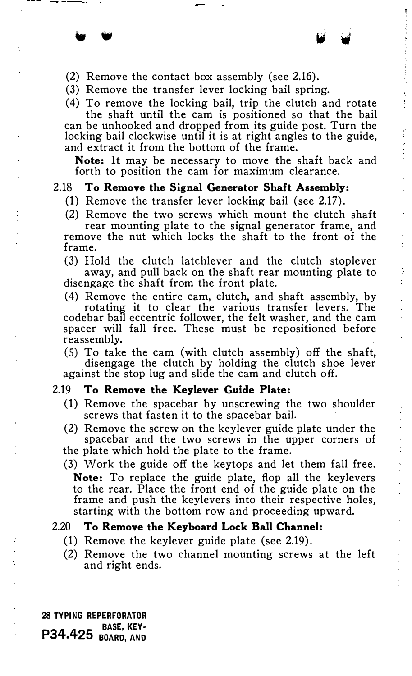(2) Remove the contact box assembly (see 2.16).

• •

- (3) Remove the transfer lever locking bail spring.
- (4) To remove the locking bail, trip the clutch and rotate

the shaft until the cam is positioned so that the bail can be unhooked and dropped from its guide post. Turn the locking bail clockwise until it is at right angles to the guide, and extract it from the bottom of the frame.

Note: It may be necessary to move the shaft back and forth to position the cam for maximum clearance.

#### 2.18 To Remove the Signal Generator Shaft Assembly:

- (1) Remove the transfer lever locking bail (see 2.17).
- (2) Remove the two screws which mount the clutch shaft

rear mounting plate to the signal generator frame, and remove the nut which locks the shaft to the front of the frame.

(3) Hold the clutch latchlever and the clutch stoplever away, and pull back on the shaft rear mounting plate to disengage the shaft from the front plate.

(4) Remove the entire cam, clutch, and shaft assembly, by rotating it to clear the various transfer levers. The codebar bail eccentric follower, the felt washer, and the cam spacer will fall free. These must be repositioned before reassembly.

(5) To take the cam (with clutch assembly) off the shaft, disengage the clutch by holding the clutch shoe lever against the stop lug and slide the cam and clutch off.

#### 2.19 To Remove the Keylever Guide Plate:

- (1) Remove the spacebar by unscrewing the two shoulder screws that fasten it to the spacebar bail.
- (2) Remove the screw on the keylever guide plate under the spacebar and the two screws in the upper corners of
- the plate which hold the plate to the frame.
- (3) Work the guide off the keytops and let them fall free. Note: To replace the guide plate, flop all the keylevers to the rear. Place the front end of the guide plate on the frame and push the keylevers into their respective holes, starting with the bottom row and proceeding upward.

#### 2.20 To Remove the Keyboard Lock Ball Channel:

- (1) Remove the keylever guide plate (see 2.19).
- (2) Remove the two channel mounting screws at the left and right ends.

28 TYPING REPERFORATOR **P34.425** BASE, KEY-